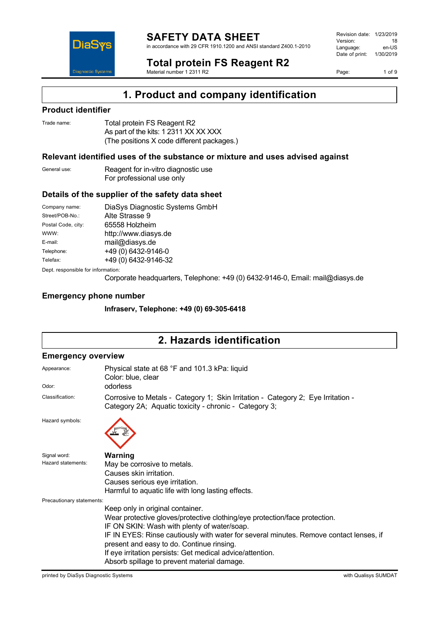

in accordance with 29 CFR 1910.1200 and ANSI standard Z400.1-2010

Revision date: 1/23/2019 Version: 18<br>
Language: en-US Language: Date of print: 1/30/2019

**Total protein FS Reagent R2** Material number 1 2311 R2

Page: 1 of 9



**1. Product and company identification**

#### **Product identifier**

| Trade name: | Total protein FS Reagent R2                |
|-------------|--------------------------------------------|
|             | As part of the kits: 1 2311 XX XX XXX      |
|             | (The positions X code different packages.) |

#### **Relevant identified uses of the substance or mixture and uses advised against**

| General use: | Reagent for in-vitro diagnostic use |
|--------------|-------------------------------------|
|              | For professional use only           |

#### **Details of the supplier of the safety data sheet**

| Company name:                      | DiaSys Diagnostic Systems GmbH |
|------------------------------------|--------------------------------|
| Street/POB-No.:                    | Alte Strasse 9                 |
| Postal Code, city:                 | 65558 Holzheim                 |
| WWW:                               | http://www.diasys.de           |
| E-mail:                            | mail@diasys.de                 |
| Telephone:                         | +49 (0) 6432-9146-0            |
| Telefax:                           | +49 (0) 6432-9146-32           |
| Dept. responsible for information: |                                |

Corporate headquarters, Telephone: +49 (0) 6432-9146-0, Email: mail@diasys.de

#### **Emergency phone number**

**Infraserv, Telephone: +49 (0) 69-305-6418**

## **2. Hazards identification**

#### **Emergency overview**

| Appearance:<br>Odor:      | Physical state at 68 °F and 101.3 kPa: liquid<br>Color: blue, clear<br>odorless                                                           |
|---------------------------|-------------------------------------------------------------------------------------------------------------------------------------------|
| Classification:           | Corrosive to Metals - Category 1; Skin Irritation - Category 2; Eye Irritation -<br>Category 2A; Aquatic toxicity - chronic - Category 3; |
| Hazard symbols:           |                                                                                                                                           |
| Signal word:              | <b>Warning</b>                                                                                                                            |
| Hazard statements:        | May be corrosive to metals.                                                                                                               |
|                           | Causes skin irritation.                                                                                                                   |
|                           | Causes serious eye irritation.                                                                                                            |
|                           | Harmful to aquatic life with long lasting effects.                                                                                        |
| Precautionary statements: |                                                                                                                                           |
|                           | Keep only in original container.                                                                                                          |
|                           | Wear protective gloves/protective clothing/eye protection/face protection.                                                                |
|                           | IF ON SKIN: Wash with plenty of water/soap.                                                                                               |
|                           | IF IN EYES: Rinse cautiously with water for several minutes. Remove contact lenses, if                                                    |
|                           | present and easy to do. Continue rinsing.                                                                                                 |
|                           | If eye irritation persists: Get medical advice/attention.                                                                                 |
|                           | Absorb spillage to prevent material damage.                                                                                               |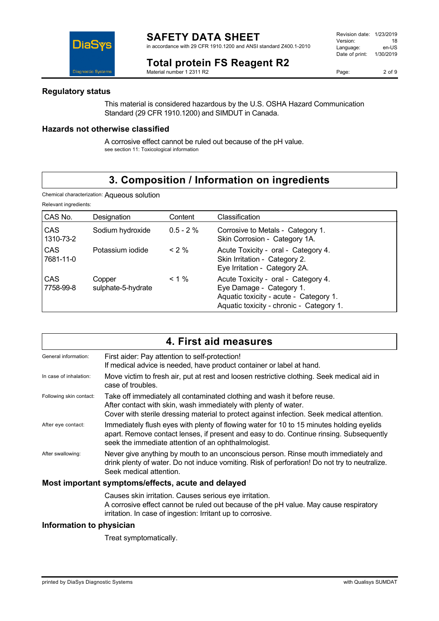in accordance with 29 CFR 1910.1200 and ANSI standard Z400.1-2010

### **Total protein FS Reagent R2**

Material number 1 2311 R2

Page: 2 of 9

# **Regulatory status**

**DiaS** 

**Diagnostic Systems** 

This material is considered hazardous by the U.S. OSHA Hazard Communication Standard (29 CFR 1910.1200) and SIMDUT in Canada.

#### **Hazards not otherwise classified**

A corrosive effect cannot be ruled out because of the pH value. see section 11: Toxicological information

### **3. Composition / Information on ingredients**

| Chemical characterization: Aqueous solution |  |
|---------------------------------------------|--|
|---------------------------------------------|--|

Relevant ingredients:

| CAS No.          | Designation                  | Content      | Classification                                                                                                                                        |
|------------------|------------------------------|--------------|-------------------------------------------------------------------------------------------------------------------------------------------------------|
| CAS<br>1310-73-2 | Sodium hydroxide             | $0.5 - 2 \%$ | Corrosive to Metals - Category 1.<br>Skin Corrosion - Category 1A.                                                                                    |
| CAS<br>7681-11-0 | Potassium iodide             | $<$ 2 %      | Acute Toxicity - oral - Category 4.<br>Skin Irritation - Category 2.<br>Eye Irritation - Category 2A.                                                 |
| CAS<br>7758-99-8 | Copper<br>sulphate-5-hydrate | $< 1 \%$     | Acute Toxicity - oral - Category 4.<br>Eye Damage - Category 1.<br>Aquatic toxicity - acute - Category 1.<br>Aquatic toxicity - chronic - Category 1. |

|                          | 4. First aid measures                                                                                                                                                                                                                      |
|--------------------------|--------------------------------------------------------------------------------------------------------------------------------------------------------------------------------------------------------------------------------------------|
| General information:     | First aider: Pay attention to self-protection!<br>If medical advice is needed, have product container or label at hand.                                                                                                                    |
| In case of inhalation:   | Move victim to fresh air, put at rest and loosen restrictive clothing. Seek medical aid in<br>case of troubles.                                                                                                                            |
| Following skin contact:  | Take off immediately all contaminated clothing and wash it before reuse.<br>After contact with skin, wash immediately with plenty of water.<br>Cover with sterile dressing material to protect against infection. Seek medical attention.  |
| After eye contact:       | Immediately flush eyes with plenty of flowing water for 10 to 15 minutes holding eyelids<br>apart. Remove contact lenses, if present and easy to do. Continue rinsing. Subsequently<br>seek the immediate attention of an ophthalmologist. |
| After swallowing:        | Never give anything by mouth to an unconscious person. Rinse mouth immediately and<br>drink plenty of water. Do not induce vomiting. Risk of perforation! Do not try to neutralize.<br>Seek medical attention.                             |
|                          | Most important symptoms/effects, acute and delayed                                                                                                                                                                                         |
|                          | Causes skin irritation. Causes serious eye irritation.<br>A corrosive effect cannot be ruled out because of the pH value. May cause respiratory<br>irritation. In case of ingestion: Irritant up to corrosive.                             |
| Information to physician |                                                                                                                                                                                                                                            |

Treat symptomatically.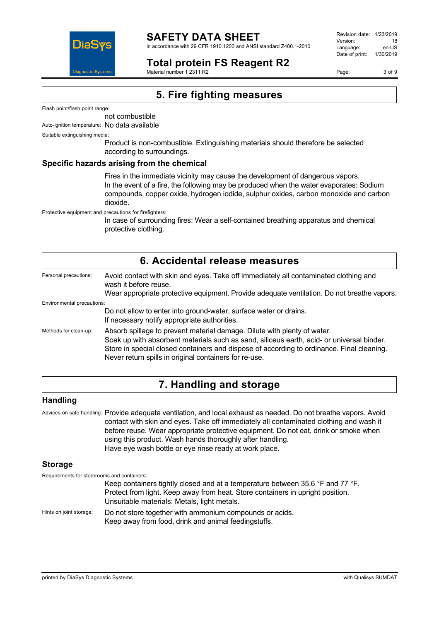

in accordance with 29 CFR 1910.1200 and ANSI standard Z400.1-2010

### **Total protein FS Reagent R2**

Material number 1 2311 R2

Revision date: 1/23/2019 Version: 18<br>Language: en-LIS Language: Date of print: 1/30/2019

Page: 3 of 9

### **5. Fire fighting measures**

Flash point/flash point range:

not combustible

Auto-ignition temperature: No data available

Suitable extinguishing media:

Product is non-combustible. Extinguishing materials should therefore be selected according to surroundings.

#### **Specific hazards arising from the chemical**

Fires in the immediate vicinity may cause the development of dangerous vapors. In the event of a fire, the following may be produced when the water evaporates: Sodium compounds, copper oxide, hydrogen iodide, sulphur oxides, carbon monoxide and carbon dioxide.

Protective equipment and precautions for firefighters:

In case of surrounding fires: Wear a self-contained breathing apparatus and chemical protective clothing.

| 6. Accidental release measures |                                                                                                                                                                                                                                                                                                                              |  |
|--------------------------------|------------------------------------------------------------------------------------------------------------------------------------------------------------------------------------------------------------------------------------------------------------------------------------------------------------------------------|--|
| Personal precautions:          | Avoid contact with skin and eyes. Take off immediately all contaminated clothing and<br>wash it before reuse.<br>Wear appropriate protective equipment. Provide adequate ventilation. Do not breathe vapors.                                                                                                                 |  |
| Environmental precautions:     |                                                                                                                                                                                                                                                                                                                              |  |
|                                | Do not allow to enter into ground-water, surface water or drains.                                                                                                                                                                                                                                                            |  |
|                                | If necessary notify appropriate authorities.                                                                                                                                                                                                                                                                                 |  |
| Methods for clean-up:          | Absorb spillage to prevent material damage. Dilute with plenty of water.<br>Soak up with absorbent materials such as sand, siliceus earth, acid- or universal binder.<br>Store in special closed containers and dispose of according to ordinance. Final cleaning.<br>Never return spills in original containers for re-use. |  |

### **7. Handling and storage**

#### **Handling**

Advices on safe handling: Provide adequate ventilation, and local exhaust as needed. Do not breathe vapors. Avoid contact with skin and eyes. Take off immediately all contaminated clothing and wash it before reuse. Wear appropriate protective equipment. Do not eat, drink or smoke when using this product. Wash hands thoroughly after handling. Have eye wash bottle or eye rinse ready at work place.

#### **Storage**

Requirements for storerooms and containers:

Keep containers tightly closed and at a temperature between 35.6 °F and 77 °F. Protect from light. Keep away from heat. Store containers in upright position. Unsuitable materials: Metals, light metals.

Hints on joint storage: Do not store together with ammonium compounds or acids. Keep away from food, drink and animal feedingstuffs.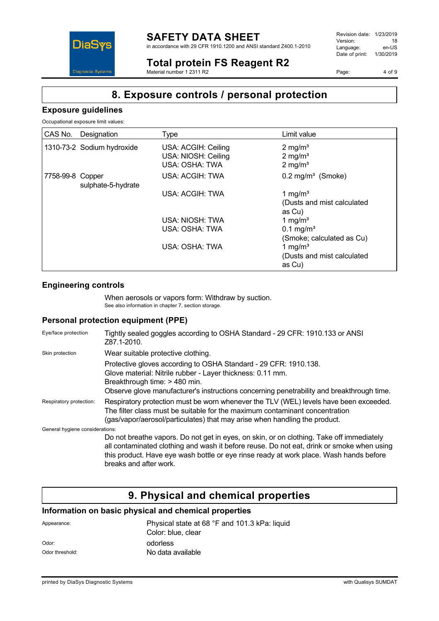

in accordance with 29 CFR 1910.1200 and ANSI standard Z400.1-2010

Revision date: 1/23/2019 Version: 18<br>
Language: en-US Language: Date of print: 1/30/2019

**Total protein FS Reagent R2**

Material number 1 2311 R2

Page: 4 of 9

### **8. Exposure controls / personal protection**

#### **Exposure guidelines**

**DiaSys** 

**Diagnostic System:** 

Occupational exposure limit values:

| CAS No.          | Designation                | Type                                                         | Limit value                                                    |
|------------------|----------------------------|--------------------------------------------------------------|----------------------------------------------------------------|
|                  | 1310-73-2 Sodium hydroxide | USA: ACGIH: Ceiling<br>USA: NIOSH: Ceiling<br>USA: OSHA: TWA | $2 \text{ mg/m}^3$<br>$2 \text{ mg/m}^3$<br>$2 \text{ mg/m}^3$ |
| 7758-99-8 Copper | sulphate-5-hydrate         | USA: ACGIH: TWA                                              | $0.2$ mg/m <sup>3</sup> (Smoke)                                |
|                  |                            | USA: ACGIH: TWA                                              | 1 mg/m <sup>3</sup><br>(Dusts and mist calculated<br>as Cu)    |
|                  |                            | USA: NIOSH: TWA                                              | 1 mg/m <sup>3</sup>                                            |
|                  |                            | USA: OSHA: TWA                                               | $0.1 \text{ mg/m}^3$<br>(Smoke; calculated as Cu)              |
|                  |                            | USA: OSHA: TWA                                               | 1 mg/m <sup>3</sup><br>(Dusts and mist calculated<br>as Cu)    |

#### **Engineering controls**

When aerosols or vapors form: Withdraw by suction. See also information in chapter 7, section storage.

#### **Personal protection equipment (PPE)**

| Eye/face protection             | Tightly sealed goggles according to OSHA Standard - 29 CFR: 1910.133 or ANSI<br>Z87.1-2010.                                                                                                                                                                                                               |
|---------------------------------|-----------------------------------------------------------------------------------------------------------------------------------------------------------------------------------------------------------------------------------------------------------------------------------------------------------|
| Skin protection                 | Wear suitable protective clothing.                                                                                                                                                                                                                                                                        |
|                                 | Protective gloves according to OSHA Standard - 29 CFR: 1910.138.<br>Glove material: Nitrile rubber - Layer thickness: 0.11 mm.<br>Breakthrough time: > 480 min.<br>Observe glove manufacturer's instructions concerning penetrability and breakthrough time.                                              |
| Respiratory protection:         | Respiratory protection must be worn whenever the TLV (WEL) levels have been exceeded.<br>The filter class must be suitable for the maximum contaminant concentration<br>(gas/vapor/aerosol/particulates) that may arise when handling the product.                                                        |
| General hygiene considerations: |                                                                                                                                                                                                                                                                                                           |
|                                 | Do not breathe vapors. Do not get in eyes, on skin, or on clothing. Take off immediately<br>all contaminated clothing and wash it before reuse. Do not eat, drink or smoke when using<br>this product. Have eye wash bottle or eye rinse ready at work place. Wash hands before<br>breaks and after work. |

# **9. Physical and chemical properties**

#### **Information on basic physical and chemical properties**

| Appearance:     | Physical state at 68 °F and 101.3 kPa: liquid<br>Color: blue, clear |
|-----------------|---------------------------------------------------------------------|
| Odor:           | odorless                                                            |
| Odor threshold: | No data available                                                   |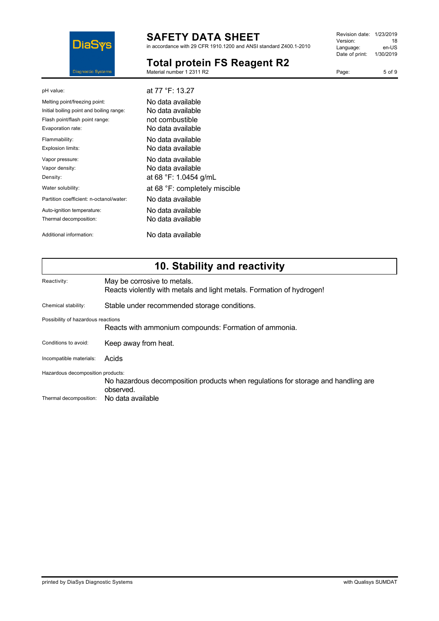

Material number 1 2311 R2

in accordance with 29 CFR 1910.1200 and ANSI standard Z400.1-2010

**Total protein FS Reagent R2**

#### Revision date: 1/23/2019 Version: 18<br>
Language: en-US Language: Date of print: 1/30/2019

Page: 5 of 9

| pH value:                                | at 77 °F: 13.27               |
|------------------------------------------|-------------------------------|
| Melting point/freezing point:            | No data available             |
| Initial boiling point and boiling range: | No data available             |
| Flash point/flash point range:           | not combustible               |
| Evaporation rate:                        | No data available.            |
| Flammability:                            | No data available.            |
| Explosion limits:                        | No data available.            |
| Vapor pressure:                          | No data available.            |
| Vapor density:                           | No data available             |
| Density:                                 | at 68 °F: 1.0454 g/mL         |
| Water solubility:                        | at 68 °F: completely miscible |
| Partition coefficient: n-octanol/water:  | No data available             |
| Auto-ignition temperature:               | No data available             |
| Thermal decomposition:                   | No data available.            |
| Additional information:                  | No data available             |

# **10. Stability and reactivity**

| Reactivity:                                                                                 | May be corrosive to metals.<br>Reacts violently with metals and light metals. Formation of hydrogen! |
|---------------------------------------------------------------------------------------------|------------------------------------------------------------------------------------------------------|
| Chemical stability:                                                                         | Stable under recommended storage conditions.                                                         |
| Possibility of hazardous reactions<br>Reacts with ammonium compounds: Formation of ammonia. |                                                                                                      |
| Conditions to avoid:                                                                        | Keep away from heat.                                                                                 |
| Incompatible materials:                                                                     | Acids                                                                                                |
| Hazardous decomposition products:                                                           | No hazardous decomposition products when regulations for storage and handling are<br>observed.       |
| Thermal decomposition:                                                                      | No data available                                                                                    |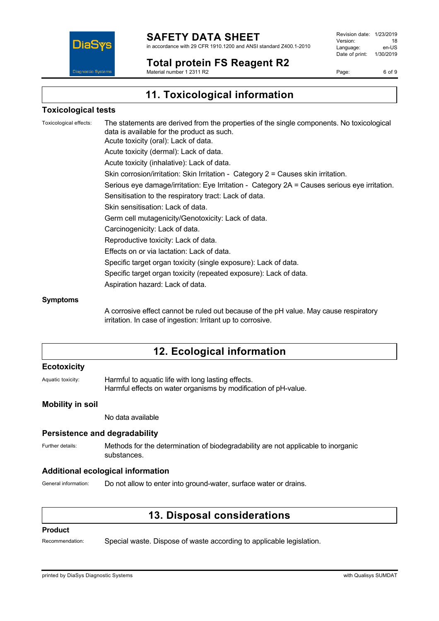

**Total protein FS Reagent R2**

Revision date: 1/23/2019 Version: 18<br>Language: en-LIS Language: Date of print: 1/30/2019

Page: 6 of 9

Material number 1 2311 R2

### **11. Toxicological information**

#### **Toxicological tests**

Toxicological effects: The statements are derived from the properties of the single components. No toxicological data is available for the product as such. Acute toxicity (oral): Lack of data. Acute toxicity (dermal): Lack of data. Acute toxicity (inhalative): Lack of data. Skin corrosion/irritation: Skin Irritation - Category 2 = Causes skin irritation. Serious eye damage/irritation: Eye Irritation - Category 2A = Causes serious eye irritation. Sensitisation to the respiratory tract: Lack of data. Skin sensitisation: Lack of data. Germ cell mutagenicity/Genotoxicity: Lack of data. Carcinogenicity: Lack of data. Reproductive toxicity: Lack of data. Effects on or via lactation: Lack of data. Specific target organ toxicity (single exposure): Lack of data. Specific target organ toxicity (repeated exposure): Lack of data. Aspiration hazard: Lack of data. **Symptoms**

> A corrosive effect cannot be ruled out because of the pH value. May cause respiratory irritation. In case of ingestion: Irritant up to corrosive.

### **12. Ecological information**

#### **Ecotoxicity**

Aquatic toxicity: Harmful to aquatic life with long lasting effects. Harmful effects on water organisms by modification of pH-value.

#### **Mobility in soil**

No data available

#### **Persistence and degradability**

Further details: Methods for the determination of biodegradability are not applicable to inorganic substances.

#### **Additional ecological information**

General information: Do not allow to enter into ground-water, surface water or drains.

### **13. Disposal considerations**

#### **Product**

Recommendation: Special waste. Dispose of waste according to applicable legislation.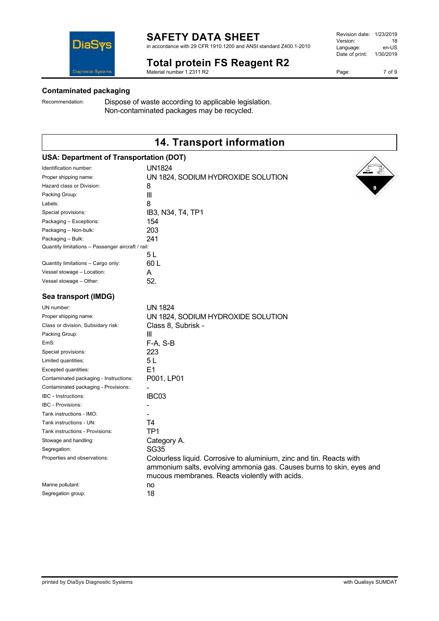in accordance with 29 CFR 1910.1200 and ANSI standard Z400.1-2010

### **Total protein FS Reagent R2**

Material number 1 2311 R2

#### **Contaminated packaging**

**DiaSys** 

**Diagnostic Systems** 

Recommendation: Dispose of waste according to applicable legislation. Non-contaminated packages may be recycled.

### **14. Transport information**

| <b>USA: Department of Transportation (DOT)</b>                       |
|----------------------------------------------------------------------|
| <b>UN1824</b>                                                        |
| UN 1824, SODIUM HYDROXIDE SOLUTION                                   |
| 8                                                                    |
| $\mathbf{  }$                                                        |
| 8                                                                    |
| IB3, N34, T4, TP1                                                    |
| 154                                                                  |
| 203                                                                  |
| 241                                                                  |
| Quantity limitations - Passenger aircraft / rail:                    |
| 5 L                                                                  |
| 60L                                                                  |
| A                                                                    |
| 52.                                                                  |
|                                                                      |
| <b>UN 1824</b>                                                       |
| UN 1824, SODIUM HYDROXIDE SOLUTION                                   |
| Class 8, Subrisk -                                                   |
| Ш                                                                    |
| F-A, S-B                                                             |
| 223                                                                  |
| 5L                                                                   |
| E1                                                                   |
| P001, LP01                                                           |
|                                                                      |
| IBC03                                                                |
|                                                                      |
|                                                                      |
| Τ4                                                                   |
| TP <sub>1</sub>                                                      |
| Category A.                                                          |
| <b>SG35</b>                                                          |
| Colourless liquid. Corrosive to aluminium, zinc and tin. Reacts with |
| ammonium salts, evolving ammonia gas. Causes burns to skin, eyes and |
| mucous membranes. Reacts violently with acids.                       |
| no                                                                   |
| 18                                                                   |
|                                                                      |

Page: 7 of 9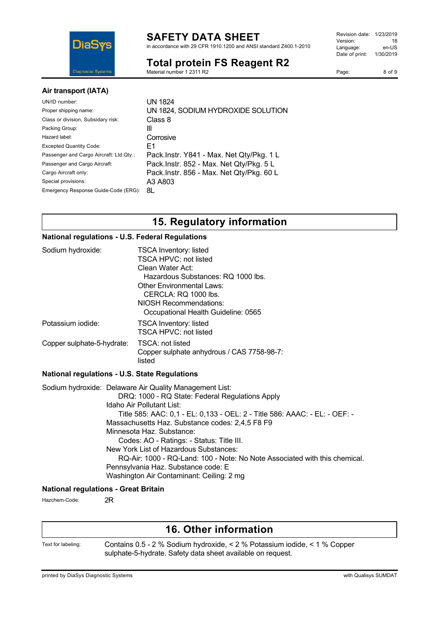

in accordance with 29 CFR 1910.1200 and ANSI standard Z400.1-2010

### **Total protein FS Reagent R2**

Material number 1 2311 R2

| Revision date: | 1/23/2019 |
|----------------|-----------|
| Version:       | 18        |
| Language:      | en-US     |
| Date of print: | 1/30/2019 |
|                |           |

Page: 8 of 9

#### **Air transport (IATA)**

| UN/ID number:<br>Proper shipping name:<br>Class or division, Subsidary risk:<br>Packing Group:<br>Hazard label:<br><b>Excepted Quantity Code:</b><br>Passenger and Cargo Aircraft: Ltd.Qty.:<br>Passenger and Cargo Aircraft:<br>Cargo Aircraft only:<br>Special provisions: | UN 1824<br>UN 1824, SODIUM HYDROXIDE SOLUTION<br>Class 8<br>Ш<br>Corrosive<br>F1<br>Pack.Instr. Y841 - Max. Net Qty/Pkg. 1 L<br>Pack.Instr. 852 - Max. Net Qty/Pkg. 5 L<br>Pack.Instr. 856 - Max. Net Qty/Pkg. 60 L<br>A3 A803 |
|------------------------------------------------------------------------------------------------------------------------------------------------------------------------------------------------------------------------------------------------------------------------------|--------------------------------------------------------------------------------------------------------------------------------------------------------------------------------------------------------------------------------|
| Emergency Response Guide-Code (ERG):                                                                                                                                                                                                                                         | 8L                                                                                                                                                                                                                             |
|                                                                                                                                                                                                                                                                              |                                                                                                                                                                                                                                |

### **15. Regulatory information**

#### **National regulations - U.S. Federal Regulations**

| Sodium hydroxide:          | <b>TSCA Inventory: listed</b><br><b>TSCA HPVC: not listed</b><br>Clean Water Act:<br>Hazardous Substances: RQ 1000 lbs.<br><b>Other Environmental Laws:</b><br>CERCLA: RQ 1000 lbs.<br>NIOSH Recommendations:<br>Occupational Health Guideline: 0565 |
|----------------------------|------------------------------------------------------------------------------------------------------------------------------------------------------------------------------------------------------------------------------------------------------|
| Potassium iodide:          | <b>TSCA Inventory: listed</b><br>TSCA HPVC: not listed                                                                                                                                                                                               |
| Copper sulphate-5-hydrate: | TSCA: not listed<br>Copper sulphate anhydrous / CAS 7758-98-7:<br>listed                                                                                                                                                                             |

#### **National regulations - U.S. State Regulations**

Sodium hydroxide: Delaware Air Quality Management List: DRQ: 1000 - RQ State: Federal Regulations Apply Idaho Air Pollutant List: Title 585: AAC: 0,1 - EL: 0,133 - OEL: 2 - Title 586: AAAC: - EL: - OEF: - Massachusetts Haz. Substance codes: 2,4,5 F8 F9 Minnesota Haz. Substance: Codes: AO - Ratings: - Status: Title III. New York List of Hazardous Substances: RQ-Air: 1000 - RQ-Land: 100 - Note: No Note Associated with this chemical. Pennsylvania Haz. Substance code: E Washington Air Contaminant: Ceiling: 2 mg

#### **National regulations - Great Britain**

Hazchem-Code: 2R

### **16. Other information**

Text for labeling: Contains 0.5 - 2 % Sodium hydroxide, < 2 % Potassium iodide, < 1 % Copper sulphate-5-hydrate. Safety data sheet available on request.